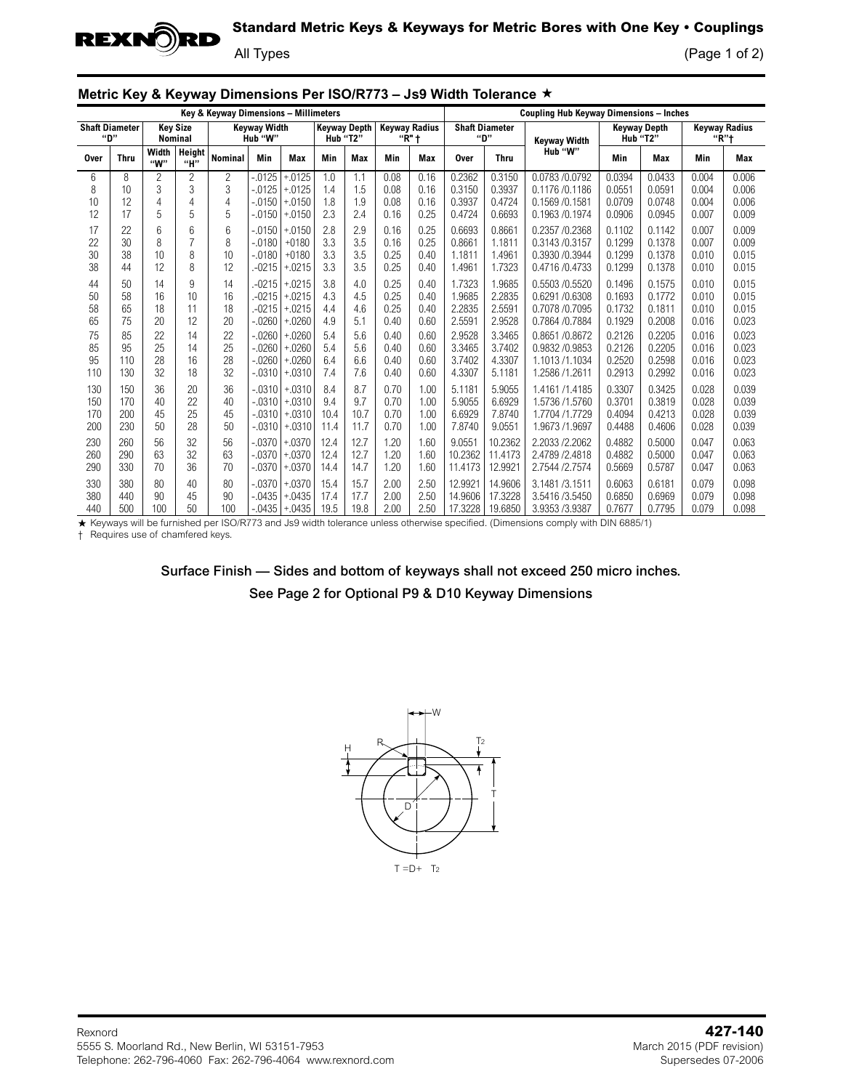

## **Standard Metric Keys & Keyways for Metric Bores with One Key • Couplings**

All Types (Page 1 of 2)

|  |  |  | Metric Key & Keyway Dimensions Per ISO/R773 – Js9 Width Tolerance ★ |  |  |
|--|--|--|---------------------------------------------------------------------|--|--|
|--|--|--|---------------------------------------------------------------------|--|--|

| Key & Keyway Dimensions - Millimeters |                   |                 |                 |                                |                       |                                       |                      |                                   |                      | <b>Coupling Hub Keyway Dimensions - Inches</b> |                               |                               |                                                    |                            |                                  |                         |                         |
|---------------------------------------|-------------------|-----------------|-----------------|--------------------------------|-----------------------|---------------------------------------|----------------------|-----------------------------------|----------------------|------------------------------------------------|-------------------------------|-------------------------------|----------------------------------------------------|----------------------------|----------------------------------|-------------------------|-------------------------|
| <b>Shaft Diameter</b>                 | "D"               | <b>Nominal</b>  | <b>Kev Size</b> | <b>Kevwav Width</b><br>Hub "W" |                       | <b>Keyway Depth</b><br>Hub "T2"       |                      | <b>Keyway Radius</b><br>" $R$ " t |                      | <b>Shaft Diameter</b><br>"D"                   |                               | <b>Keyway Width</b>           | <b>Keyway Depth</b><br>Hub "T2"                    |                            | <b>Kevwav Radius</b><br>" $R$ "t |                         |                         |
| <b>Over</b>                           | <b>Thru</b>       | Width<br>"W"    | Height<br>"H"   | Nominal                        | Min                   | Max                                   | Min                  | Max                               | Min                  | Max                                            | <b>Over</b>                   | <b>Thru</b>                   | Hub "W"                                            | Min                        | Max                              | Min                     | Max                     |
| 6                                     | 8                 | 2               | $\overline{c}$  | $\overline{c}$                 | $-0.0125$             | $+.0125$                              | 1.0                  | 1.1                               | 0.08                 | 0.16                                           | 0.2362                        | 0.3150                        | 0.0783 /0.0792                                     | 0.0394                     | 0.0433                           | 0.004                   | 0.006                   |
| 8                                     | 10                | 3               | 3               | 3                              | $-0.0125$             | $+0125$                               | 1.4                  | 1.5                               | 0.08                 | 0.16                                           | 0.3150                        | 0.3937                        | 0.1176 / 0.1186                                    | 0.0551                     | 0.0591                           | 0.004                   | 0.006                   |
| 10                                    | 12                | 4               | $\overline{4}$  | 4                              | $-.0150$              | $+0150$                               | 1.8                  | 1.9                               | 0.08                 | 0.16                                           | 0.3937                        | 0.4724                        | 0.1569 / 0.1581                                    | 0.0709                     | 0.0748                           | 0.004                   | 0.006                   |
| 12                                    | 17                | 5               | 5               | 5                              | $-0.0150$             | $+0150$                               | 2.3                  | 2.4                               | 0.16                 | 0.25                                           | 0.4724                        | 0.6693                        | 0.1963 / 0.1974                                    | 0.0906                     | 0.0945                           | 0.007                   | 0.009                   |
| 17                                    | 22                | 6               | 6               | 6                              | $-.0150$              | $+0150$                               | 2.8                  | 2.9                               | 0.16                 | 0.25                                           | 0.6693                        | 0.8661                        | 0.2357 /0.2368                                     | 0.1102                     | 0.1142                           | 0.007                   | 0.009                   |
| 22                                    | 30                | 8               | $\overline{7}$  | 8                              | $-0180$               | $+0180$                               | 3.3                  | 3.5                               | 0.16                 | 0.25                                           | 0.8661                        | 1.1811                        | 0.3143 / 0.3157                                    | 0.1299                     | 0.1378                           | 0.007                   | 0.009                   |
| 30                                    | 38                | 10              | 8               | 10                             | $-0180$               | $+0180$                               | 3.3                  | 3.5                               | 0.25                 | 0.40                                           | 1.1811                        | 1.4961                        | 0.3930 / 0.3944                                    | 0.1299                     | 0.1378                           | 0.010                   | 0.015                   |
| 38                                    | 44                | 12              | 8               | 12                             | $-0215$               | $+0215$                               | 3.3                  | 3.5                               | 0.25                 | 0.40                                           | 1.4961                        | 1.7323                        | 0.4716 / 0.4733                                    | 0.1299                     | 0.1378                           | 0.010                   | 0.015                   |
| 44                                    | 50                | 14              | 9               | 14                             | $-0215$               | $+.0215$                              | 3.8                  | 4.0                               | 0.25                 | 0.40                                           | 1.7323                        | 1.9685                        | 0.5503 /0.5520                                     | 0.1496                     | 0.1575                           | 0.010                   | 0.015                   |
| 50                                    | 58                | 16              | 10              | 16                             | $-0215$               | $+0215$                               | 4.3                  | 4.5                               | 0.25                 | 0.40                                           | 1.9685                        | 2.2835                        | 0.6291 /0.6308                                     | 0.1693                     | 0.1772                           | 0.010                   | 0.015                   |
| 58                                    | 65                | 18              | 11              | 18                             | $-0215$               | $+.0215$                              | 4.4                  | 4.6                               | 0.25                 | 0.40                                           | 2.2835                        | 2.5591                        | 0.7078 / 0.7095                                    | 0.1732                     | 0.1811                           | 0.010                   | 0.015                   |
| 65                                    | 75                | 20              | 12              | 20                             | $-0.0260$             | $+.0260$                              | 4.9                  | 5.1                               | 0.40                 | 0.60                                           | 2.5591                        | 2.9528                        | 0.7864 / 0.7884                                    | 0.1929                     | 0.2008                           | 0.016                   | 0.023                   |
| 75                                    | 85                | 22              | 14              | 22                             | $-0.0260$             | $+.0260$                              | 5.4                  | 5.6                               | 0.40                 | 0.60                                           | 2.9528                        | 3.3465                        | 0.8651 / 0.8672                                    | 0.2126                     | 0.2205                           | 0.016                   | 0.023                   |
| 85                                    | 95                | 25              | 14              | 25                             | $-.0260$              | $+0260$                               | 5.4                  | 5.6                               | 0.40                 | 0.60                                           | 3.3465                        | 3.7402                        | 0.9832 / 0.9853                                    | 0.2126                     | 0.2205                           | 0.016                   | 0.023                   |
| 95                                    | 110               | 28              | 16              | 28                             | $-.0260$              | $+.0260$                              | 6.4                  | 6.6                               | 0.40                 | 0.60                                           | 3.7402                        | 4.3307                        | 1.1013 /1.1034                                     | 0.2520                     | 0.2598                           | 0.016                   | 0.023                   |
| 110                                   | 130               | 32              | 18              | 32                             | $-0.0310$             | $+0310$                               | 7.4                  | 7.6                               | 0.40                 | 0.60                                           | 4.3307                        | 5.1181                        | 1.2586 /1.2611                                     | 0.2913                     | 0.2992                           | 0.016                   | 0.023                   |
| 130<br>150<br>170                     | 150<br>170<br>200 | 36<br>40<br>45  | 20<br>22<br>25  | 36<br>40<br>45                 | $-0.0310$<br>$-.0310$ | $-.0310$ + 0310<br>$+0310$<br>$+0310$ | 8.4<br>9.4<br>10.4   | 8.7<br>9.7<br>10.7                | 0.70<br>0.70<br>0.70 | 1.00<br>1.00<br>1.00                           | 5.1181<br>5.9055<br>6.6929    | 5.9055<br>6.6929<br>7.8740    | 1.4161 /1.4185<br>1.5736 /1.5760<br>1.7704 /1.7729 | 0.3307<br>0.3701<br>0.4094 | 0.3425<br>0.3819<br>0.4213       | 0.028<br>0.028<br>0.028 | 0.039<br>0.039<br>0.039 |
| 200                                   | 230               | $50^{\circ}$    | 28              | 50                             |                       | $-0310$   $+0310$                     | 11.4                 | 11.7                              | 0.70                 | 1.00                                           | 7.8740                        | 9.0551                        | 1.9673 /1.9697                                     | 0.4488                     | 0.4606                           | 0.028                   | 0.039                   |
| 230                                   | 260               | 56              | 32              | 56                             | $-.0370$              | $+.0370$                              | 12.4                 | 12.7                              | 1.20                 | 1.60                                           | 9.0551                        | 10.2362                       | 2.2033 /2.2062                                     | 0.4882                     | 0.5000                           | 0.047                   | 0.063                   |
| 260                                   | 290               | 63              | 32              | 63                             | $-.0370$              | $+0370$                               | 12.4                 | 12.7                              | 1.20                 | 1.60                                           | 10.2362                       | 11.4173                       | 2.4789 / 2.4818                                    | 0.4882                     | 0.5000                           | 0.047                   | 0.063                   |
| 290                                   | 330               | 70              | 36              | 70                             | $-.0370$              | $+0370$                               | 14.4                 | 14.7                              | 1.20                 | 1.60                                           | 11.4173                       | 12.9921                       | 2.7544 / 2.7574                                    | 0.5669                     | 0.5787                           | 0.047                   | 0.063                   |
| 330<br>380<br>440                     | 380<br>440<br>500 | 80<br>90<br>100 | 40<br>45<br>50  | 80<br>90<br>100                | $-.0370$<br>$-.0435$  | $+0370$<br>$+0435$<br>$-0435$ + 0435  | 15.4<br>17.4<br>19.5 | 15.7<br>17.7<br>19.8              | 2.00<br>2.00<br>2.00 | 2.50<br>2.50<br>2.50                           | 12.9921<br>14.9606<br>17.3228 | 14.9606<br>17.3228<br>19.6850 | 3.1481/3.1511<br>3.5416 / 3.5450<br>3.9353 /3.9387 | 0.6063<br>0.6850<br>0.7677 | 0.6181<br>0.6969<br>0.7795       | 0.079<br>0.079<br>0.079 | 0.098<br>0.098<br>0.098 |

★ Keyways will be furnished per ISO/R773 and Js9 width tolerance unless otherwise specified. (Dimensions comply with DIN 6885/1)<br>† Requires use of chamfered keys.

Surface Finish — Sides and bottom of keyways shall not exceed 250 micro inches. See Page 2 for Optional P9 & D10 Keyway Dimensions



Rexnord **427-140** 5555 S. Moorland Rd., New Berlin, WI 53151-7953<br>Telephone: 262-796-4060 Fax: 262-796-4064 www.rexnord.com Supersedes 07-2006 Telephone: 262-796-4060 Fax: 262-796-4064 www.rexnord.com